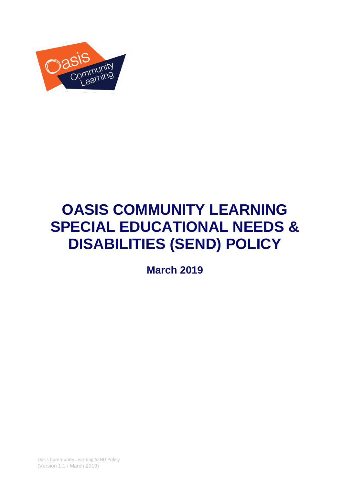

# **OASIS COMMUNITY LEARNING SPECIAL EDUCATIONAL NEEDS & DISABILITIES (SEND) POLICY**

**March 2019** 

Oasis Community Learning SEND Policy (Version 1.1 / March 2019)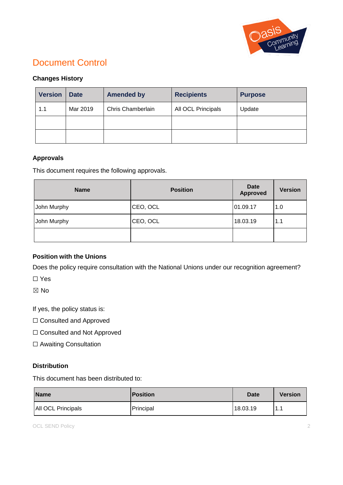

# Document Control

## **Changes History**

| <b>Version</b> | <b>Date</b> | <b>Amended by</b> | <b>Recipients</b>  | <b>Purpose</b> |
|----------------|-------------|-------------------|--------------------|----------------|
| 1.1            | Mar 2019    | Chris Chamberlain | All OCL Principals | Update         |
|                |             |                   |                    |                |
|                |             |                   |                    |                |

#### **Approvals**

This document requires the following approvals.

| <b>Name</b> | <b>Position</b> | Date<br><b>Approved</b> | <b>Version</b> |
|-------------|-----------------|-------------------------|----------------|
| John Murphy | CEO, OCL        | 01.09.17                | 1.0            |
| John Murphy | CEO, OCL        | 18.03.19                | 1.1            |
|             |                 |                         |                |

## **Position with the Unions**

Does the policy require consultation with the National Unions under our recognition agreement?

☐ Yes

☒ No

If yes, the policy status is:

- □ Consulted and Approved
- ☐ Consulted and Not Approved
- □ Awaiting Consultation

#### **Distribution**

This document has been distributed to:

| <b>Name</b>        | <b>Position</b> | <b>Date</b> | <b>Version</b> |
|--------------------|-----------------|-------------|----------------|
| All OCL Principals | Principal       | 18.03.19    | -1<br>. .      |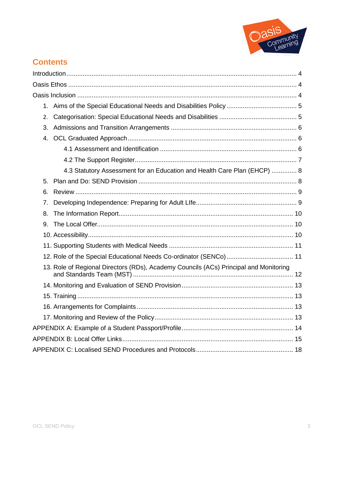

# **Contents**

| 1. |                                                                                       |  |
|----|---------------------------------------------------------------------------------------|--|
| 2. |                                                                                       |  |
| 3. |                                                                                       |  |
| 4. |                                                                                       |  |
|    |                                                                                       |  |
|    |                                                                                       |  |
|    | 4.3 Statutory Assessment for an Education and Health Care Plan (EHCP)  8              |  |
| 5. |                                                                                       |  |
| 6. |                                                                                       |  |
| 7. |                                                                                       |  |
| 8. |                                                                                       |  |
| 9. |                                                                                       |  |
|    |                                                                                       |  |
|    |                                                                                       |  |
|    |                                                                                       |  |
|    | 13. Role of Regional Directors (RDs), Academy Councils (ACs) Principal and Monitoring |  |
|    |                                                                                       |  |
|    |                                                                                       |  |
|    |                                                                                       |  |
|    |                                                                                       |  |
|    |                                                                                       |  |
|    |                                                                                       |  |
|    |                                                                                       |  |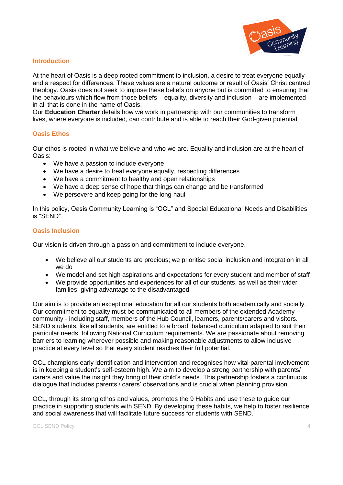

#### **Introduction**

At the heart of Oasis is a deep rooted commitment to inclusion, a desire to treat everyone equally and a respect for differences. These values are a natural outcome or result of Oasis' Christ centred theology. Oasis does not seek to impose these beliefs on anyone but is committed to ensuring that the behaviours which flow from those beliefs – equality, diversity and inclusion – are implemented in all that is done in the name of Oasis.

Our **Education Charter** details how we work in partnership with our communities to transform lives, where everyone is included, can contribute and is able to reach their God-given potential.

#### **Oasis Ethos**

Our ethos is rooted in what we believe and who we are. Equality and inclusion are at the heart of Oasis:

- We have a passion to include everyone
- We have a desire to treat everyone equally, respecting differences
- We have a commitment to healthy and open relationships
- We have a deep sense of hope that things can change and be transformed
- We persevere and keep going for the long haul

In this policy, Oasis Community Learning is "OCL" and Special Educational Needs and Disabilities is "SEND".

#### **Oasis Inclusion**

Our vision is driven through a passion and commitment to include everyone.

- We believe all our students are precious; we prioritise social inclusion and integration in all we do
- We model and set high aspirations and expectations for every student and member of staff
- We provide opportunities and experiences for all of our students, as well as their wider families, giving advantage to the disadvantaged

Our aim is to provide an exceptional education for all our students both academically and socially. Our commitment to equality must be communicated to all members of the extended Academy community - including staff, members of the Hub Council, learners, parents/carers and visitors. SEND students, like all students, are entitled to a broad, balanced curriculum adapted to suit their particular needs, following National Curriculum requirements. We are passionate about removing barriers to learning wherever possible and making reasonable adjustments to allow inclusive practice at every level so that every student reaches their full potential.

OCL champions early identification and intervention and recognises how vital parental involvement is in keeping a student's self-esteem high. We aim to develop a strong partnership with parents/ carers and value the insight they bring of their child's needs. This partnership fosters a continuous dialogue that includes parents'/ carers' observations and is crucial when planning provision.

OCL, through its strong ethos and values, promotes the 9 Habits and use these to guide our practice in supporting students with SEND. By developing these habits, we help to foster resilience and social awareness that will facilitate future success for students with SEND.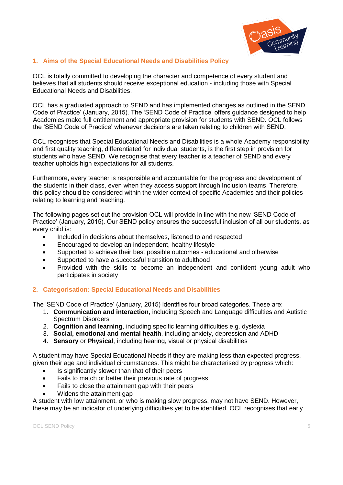

#### **1. Aims of the Special Educational Needs and Disabilities Policy**

OCL is totally committed to developing the character and competence of every student and believes that all students should receive exceptional education - including those with Special Educational Needs and Disabilities.

OCL has a graduated approach to SEND and has implemented changes as outlined in the SEND Code of Practice' (January, 2015). The 'SEND Code of Practice' offers guidance designed to help Academies make full entitlement and appropriate provision for students with SEND. OCL follows the 'SEND Code of Practice' whenever decisions are taken relating to children with SEND.

OCL recognises that Special Educational Needs and Disabilities is a whole Academy responsibility and first quality teaching, differentiated for individual students, is the first step in provision for students who have SEND. We recognise that every teacher is a teacher of SEND and every teacher upholds high expectations for all students.

Furthermore, every teacher is responsible and accountable for the progress and development of the students in their class, even when they access support through Inclusion teams. Therefore, this policy should be considered within the wider context of specific Academies and their policies relating to learning and teaching.

The following pages set out the provision OCL will provide in line with the new 'SEND Code of Practice' (January, 2015). Our SEND policy ensures the successful inclusion of all our students, as every child is:

- Included in decisions about themselves, listened to and respected
- Encouraged to develop an independent, healthy lifestyle
- Supported to achieve their best possible outcomes educational and otherwise
- Supported to have a successful transition to adulthood
- Provided with the skills to become an independent and confident young adult who participates in society

#### **2. Categorisation: Special Educational Needs and Disabilities**

The 'SEND Code of Practice' (January, 2015) identifies four broad categories. These are:

- 1. **Communication and interaction**, including Speech and Language difficulties and Autistic Spectrum Disorders
- 2. **Cognition and learning**, including specific learning difficulties e.g. dyslexia
- 3. **Social, emotional and mental health**, including anxiety, depression and ADHD
- 4. **Sensory** or **Physical**, including hearing, visual or physical disabilities

A student may have Special Educational Needs if they are making less than expected progress, given their age and individual circumstances. This might be characterised by progress which:

- Is significantly slower than that of their peers
- Fails to match or better their previous rate of progress
- Fails to close the attainment gap with their peers
- Widens the attainment gap

A student with low attainment, or who is making slow progress, may not have SEND. However, these may be an indicator of underlying difficulties yet to be identified. OCL recognises that early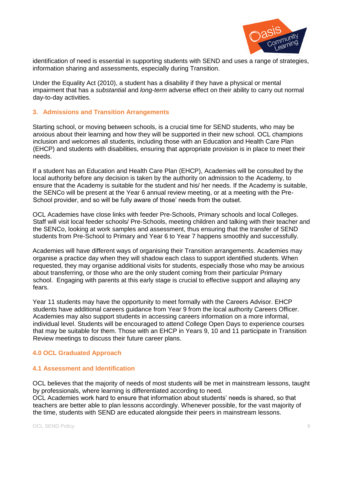

identification of need is essential in supporting students with SEND and uses a range of strategies, information sharing and assessments, especially during Transition.

Under the Equality Act (2010), a student has a disability if they have a physical or mental impairment that has a *substantia*l and *long-term* adverse effect on their ability to carry out normal day-to-day activities.

#### **3. Admissions and Transition Arrangements**

Starting school, or moving between schools, is a crucial time for SEND students, who may be anxious about their learning and how they will be supported in their new school. OCL champions inclusion and welcomes all students, including those with an Education and Health Care Plan (EHCP) and students with disabilities, ensuring that appropriate provision is in place to meet their needs.

If a student has an Education and Health Care Plan (EHCP), Academies will be consulted by the local authority before any decision is taken by the authority on admission to the Academy, to ensure that the Academy is suitable for the student and his/ her needs. If the Academy is suitable, the SENCo will be present at the Year 6 annual review meeting, or at a meeting with the Pre-School provider, and so will be fully aware of those' needs from the outset.

OCL Academies have close links with feeder Pre-Schools, Primary schools and local Colleges. Staff will visit local feeder schools/ Pre-Schools, meeting children and talking with their teacher and the SENCo, looking at work samples and assessment, thus ensuring that the transfer of SEND students from Pre-School to Primary and Year 6 to Year 7 happens smoothly and successfully.

Academies will have different ways of organising their Transition arrangements. Academies may organise a practice day when they will shadow each class to support identified students. When requested, they may organise additional visits for students, especially those who may be anxious about transferring, or those who are the only student coming from their particular Primary school. Engaging with parents at this early stage is crucial to effective support and allaying any fears.

Year 11 students may have the opportunity to meet formally with the Careers Advisor. EHCP students have additional careers guidance from Year 9 from the local authority Careers Officer. Academies may also support students in accessing careers information on a more informal, individual level. Students will be encouraged to attend College Open Days to experience courses that may be suitable for them. Those with an EHCP in Years 9, 10 and 11 participate in Transition Review meetings to discuss their future career plans.

#### **4.0 OCL Graduated Approach**

#### **4.1 Assessment and Identification**

OCL believes that the majority of needs of most students will be met in mainstream lessons, taught by professionals, where learning is differentiated according to need.

OCL Academies work hard to ensure that information about students' needs is shared, so that teachers are better able to plan lessons accordingly. Whenever possible, for the vast majority of the time, students with SEND are educated alongside their peers in mainstream lessons.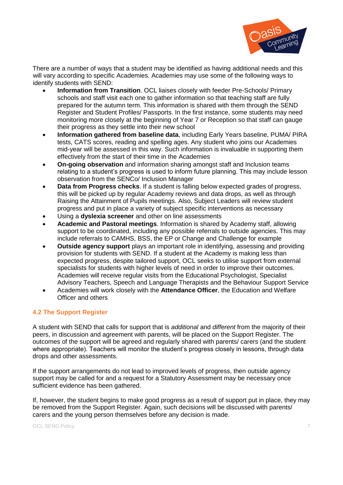

There are a number of ways that a student may be identified as having additional needs and this will vary according to specific Academies. Academies may use some of the following ways to identify students with SEND:

- **Information from Transition**. OCL liaises closely with feeder Pre-Schools/ Primary schools and staff visit each one to gather information so that teaching staff are fully prepared for the autumn term. This information is shared with them through the SEND Register and Student Profiles/ Passports. In the first instance, some students may need monitoring more closely at the beginning of Year 7 or Reception so that staff can gauge their progress as they settle into their new school
- **Information gathered from baseline data**, including Early Years baseline, PUMA/ PIRA tests, CATS scores, reading and spelling ages. Any student who joins our Academies mid-year will be assessed in this way. Such information is invaluable in supporting them effectively from the start of their time in the Academies
- **On-going observation** and information sharing amongst staff and Inclusion teams relating to a student's progress is used to inform future planning. This may include lesson observation from the SENCo/ Inclusion Manager
- **Data from Progress checks**. If a student is falling below expected grades of progress, this will be picked up by regular Academy reviews and data drops, as well as through Raising the Attainment of Pupils meetings. Also, Subject Leaders will review student progress and put in place a variety of subject specific interventions as necessary
- Using a **dyslexia screener** and other on line assessments
- **Academic and Pastoral meetings**. Information is shared by Academy staff, allowing support to be coordinated, including any possible referrals to outside agencies. This may include referrals to CAMHS, BSS, the EP or Change and Challenge for example
- **Outside agency support** plays an important role in identifying, assessing and providing provision for students with SEND. If a student at the Academy is making less than expected progress, despite tailored support, OCL seeks to utilise support from external specialists for students with higher levels of need in order to improve their outcomes. Academies will receive regular visits from the Educational Psychologist, Specialist Advisory Teachers, Speech and Language Therapists and the Behaviour Support Service
- Academies will work closely with the **Attendance Officer**, the Education and Welfare Officer and others

#### **4.2 The Support Register**

A student with SEND that calls for support that is *additional* and *different* from the majority of their peers, in discussion and agreement with parents, will be placed on the Support Register. The outcomes of the support will be agreed and regularly shared with parents/ carers (and the student where appropriate). Teachers will monitor the student's progress closely in lessons, through data drops and other assessments.

If the support arrangements do not lead to improved levels of progress, then outside agency support may be called for and a request for a Statutory Assessment may be necessary once sufficient evidence has been gathered.

If, however, the student begins to make good progress as a result of support put in place, they may be removed from the Support Register. Again, such decisions will be discussed with parents/ carers and the young person themselves before any decision is made.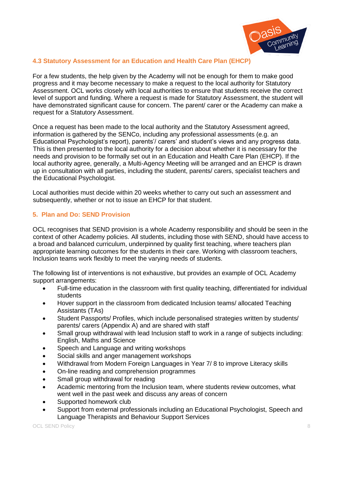

#### **4.3 Statutory Assessment for an Education and Health Care Plan (EHCP)**

For a few students, the help given by the Academy will not be enough for them to make good progress and it may become necessary to make a request to the local authority for Statutory Assessment. OCL works closely with local authorities to ensure that students receive the correct level of support and funding. Where a request is made for Statutory Assessment, the student will have demonstrated significant cause for concern. The parent/ carer or the Academy can make a request for a Statutory Assessment.

Once a request has been made to the local authority and the Statutory Assessment agreed, information is gathered by the SENCo, including any professional assessments (e.g. an Educational Psychologist's report), parents'/ carers' and student's views and any progress data. This is then presented to the local authority for a decision about whether it is necessary for the needs and provision to be formally set out in an Education and Health Care Plan (EHCP). If the local authority agree, generally, a Multi-Agency Meeting will be arranged and an EHCP is drawn up in consultation with all parties, including the student, parents/ carers, specialist teachers and the Educational Psychologist.

Local authorities must decide within 20 weeks whether to carry out such an assessment and subsequently, whether or not to issue an EHCP for that student.

#### **5. Plan and Do: SEND Provision**

OCL recognises that SEND provision is a whole Academy responsibility and should be seen in the context of other Academy policies. All students, including those with SEND, should have access to a broad and balanced curriculum, underpinned by quality first teaching, where teachers plan appropriate learning outcomes for the students in their care. Working with classroom teachers, Inclusion teams work flexibly to meet the varying needs of students.

The following list of interventions is not exhaustive, but provides an example of OCL Academy support arrangements:

- Full-time education in the classroom with first quality teaching, differentiated for individual students
- Hover support in the classroom from dedicated Inclusion teams/ allocated Teaching Assistants (TAs)
- Student Passports/ Profiles, which include personalised strategies written by students/ parents/ carers (Appendix A) and are shared with staff
- Small group withdrawal with lead Inclusion staff to work in a range of subjects including: English, Maths and Science
- Speech and Language and writing workshops
- Social skills and anger management workshops
- Withdrawal from Modern Foreign Languages in Year 7/ 8 to improve Literacy skills
- On-line reading and comprehension programmes
- Small group withdrawal for reading
- Academic mentoring from the Inclusion team, where students review outcomes, what went well in the past week and discuss any areas of concern
- Supported homework club
- Support from external professionals including an Educational Psychologist, Speech and Language Therapists and Behaviour Support Services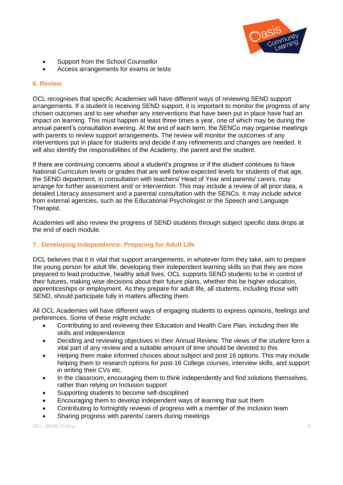

- Support from the School Counsellor
- Access arrangements for exams or tests

#### **6. Review**

OCL recognises that specific Academies will have different ways of reviewing SEND support arrangements. If a student is receiving SEND support, it is important to monitor the progress of any chosen outcomes and to see whether any interventions that have been put in place have had an impact on learning. This must happen at least three times a year, one of which may be during the annual parent's consultation evening. At the end of each term, the SENCo may organise meetings with parents to review support arrangements. The review will monitor the outcomes of any interventions put in place for students and decide if any refinements and changes are needed. It will also identify the responsibilities of the Academy, the parent and the student.

If there are continuing concerns about a student's progress or if the student continues to have National Curriculum levels or grades that are well below expected levels for students of that age, the SEND department, in consultation with teachers/ Head of Year and parents/ carers, may arrange for further assessment and/ or intervention. This may include a review of all prior data, a detailed Literacy assessment and a parental consultation with the SENCo. It may include advice from external agencies, such as the Educational Psychologist or the Speech and Language Therapist.

Academies will also review the progress of SEND students through subject specific data drops at the end of each module.

#### **7. Developing Independence: Preparing for Adult Life**

OCL believes that it is vital that support arrangements, in whatever form they take, aim to prepare the young person for adult life, developing their independent learning skills so that they are more prepared to lead productive, healthy adult lives. OCL supports SEND students to be in control of their futures, making wise decisions about their future plans, whether this be higher education, apprenticeships or employment. As they prepare for adult life, all students, including those with SEND, should participate fully in matters affecting them.

All OCL Academies will have different ways of engaging students to express opinions, feelings and preferences. Some of these might include:

- Contributing to and reviewing their Education and Health Care Plan, including their life skills and independence
- Deciding and reviewing objectives in their Annual Review. The views of the student form a vital part of any review and a suitable amount of time should be devoted to this
- Helping them make informed choices about subject and post 16 options. This may include helping them to research options for post-16 College courses, interview skills, and support in writing their CVs etc.
- In the classroom, encouraging them to think independently and find solutions themselves, rather than relying on Inclusion support
- Supporting students to become self-disciplined
- Encouraging them to develop independent ways of learning that suit them
- Contributing to fortnightly reviews of progress with a member of the Inclusion team
- Sharing progress with parents/ carers during meetings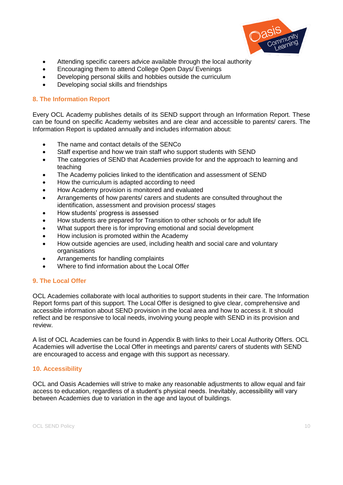

- Attending specific careers advice available through the local authority
- Encouraging them to attend College Open Days/ Evenings
- Developing personal skills and hobbies outside the curriculum
- Developing social skills and friendships

#### **8. The Information Report**

Every OCL Academy publishes details of its SEND support through an Information Report. These can be found on specific Academy websites and are clear and accessible to parents/ carers. The Information Report is updated annually and includes information about:

- The name and contact details of the SENCo
- Staff expertise and how we train staff who support students with SEND
- The categories of SEND that Academies provide for and the approach to learning and teaching
- The Academy policies linked to the identification and assessment of SEND
- How the curriculum is adapted according to need
- How Academy provision is monitored and evaluated
- Arrangements of how parents/ carers and students are consulted throughout the identification, assessment and provision process/ stages
- How students' progress is assessed
- How students are prepared for Transition to other schools or for adult life
- What support there is for improving emotional and social development
- How inclusion is promoted within the Academy
- How outside agencies are used, including health and social care and voluntary **organisations**
- Arrangements for handling complaints
- Where to find information about the Local Offer

#### **9. The Local Offer**

OCL Academies collaborate with local authorities to support students in their care. The Information Report forms part of this support. The Local Offer is designed to give clear, comprehensive and accessible information about SEND provision in the local area and how to access it. It should reflect and be responsive to local needs, involving young people with SEND in its provision and review.

A list of OCL Academies can be found in Appendix B with links to their Local Authority Offers. OCL Academies will advertise the Local Offer in meetings and parents/ carers of students with SEND are encouraged to access and engage with this support as necessary.

#### **10. Accessibility**

OCL and Oasis Academies will strive to make any reasonable adjustments to allow equal and fair access to education, regardless of a student's physical needs. Inevitably, accessibility will vary between Academies due to variation in the age and layout of buildings.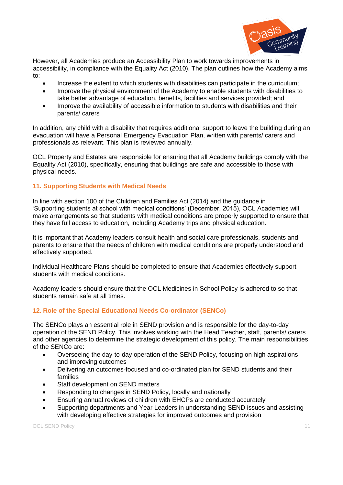

However, all Academies produce an Accessibility Plan to work towards improvements in accessibility, in compliance with the Equality Act (2010). The plan outlines how the Academy aims to:

- Increase the extent to which students with disabilities can participate in the curriculum;
- Improve the physical environment of the Academy to enable students with disabilities to take better advantage of education, benefits, facilities and services provided; and
- Improve the availability of accessible information to students with disabilities and their parents/ carers

In addition, any child with a disability that requires additional support to leave the building during an evacuation will have a Personal Emergency Evacuation Plan, written with parents/ carers and professionals as relevant. This plan is reviewed annually.

OCL Property and Estates are responsible for ensuring that all Academy buildings comply with the Equality Act (2010), specifically, ensuring that buildings are safe and accessible to those with physical needs.

#### **11. Supporting Students with Medical Needs**

In line with section 100 of the Children and Families Act (2014) and the guidance in 'Supporting students at school with medical conditions' (December, 2015), OCL Academies will make arrangements so that students with medical conditions are properly supported to ensure that they have full access to education, including Academy trips and physical education.

It is important that Academy leaders consult health and social care professionals, students and parents to ensure that the needs of children with medical conditions are properly understood and effectively supported.

Individual Healthcare Plans should be completed to ensure that Academies effectively support students with medical conditions.

Academy leaders should ensure that the OCL Medicines in School Policy is adhered to so that students remain safe at all times.

#### **12. Role of the Special Educational Needs Co-ordinator (SENCo)**

The SENCo plays an essential role in SEND provision and is responsible for the day-to-day operation of the SEND Policy. This involves working with the Head Teacher, staff, parents/ carers and other agencies to determine the strategic development of this policy. The main responsibilities of the SENCo are:

- Overseeing the day-to-day operation of the SEND Policy, focusing on high aspirations and improving outcomes
- Delivering an outcomes-focused and co-ordinated plan for SEND students and their families
- Staff development on SEND matters
- Responding to changes in SEND Policy, locally and nationally
- Ensuring annual reviews of children with EHCPs are conducted accurately
- Supporting departments and Year Leaders in understanding SEND issues and assisting with developing effective strategies for improved outcomes and provision

OCL SEND Policy 2008 12 2009 12:00:00 12:00:00 12:00:00 12:00:00 12:00:00 12:00:00 12:00:00 12:00:00 12:00:00 12:00:00 12:00:00 12:00:00 12:00:00 12:00:00 12:00:00 12:00:00 12:00:00 12:00:00 12:00:00 12:00:00 12:00:00 12:0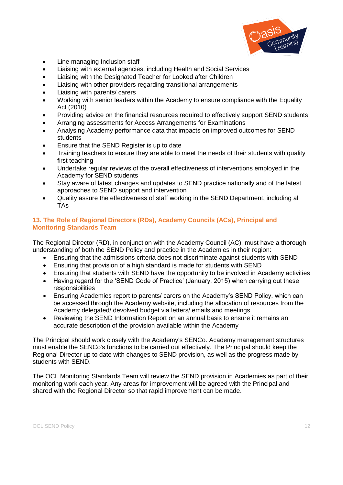

- Line managing Inclusion staff
- Liaising with external agencies, including Health and Social Services
- Liaising with the Designated Teacher for Looked after Children
- Liaising with other providers regarding transitional arrangements
- Liaising with parents/ carers
- Working with senior leaders within the Academy to ensure compliance with the Equality Act (2010)
- Providing advice on the financial resources required to effectively support SEND students
- Arranging assessments for Access Arrangements for Examinations
- Analysing Academy performance data that impacts on improved outcomes for SEND students
- Ensure that the SEND Register is up to date
- Training teachers to ensure they are able to meet the needs of their students with quality first teaching
- Undertake regular reviews of the overall effectiveness of interventions employed in the Academy for SEND students
- Stay aware of latest changes and updates to SEND practice nationally and of the latest approaches to SEND support and intervention
- Quality assure the effectiveness of staff working in the SEND Department, including all TAs

#### **13. The Role of Regional Directors (RDs), Academy Councils (ACs), Principal and Monitoring Standards Team**

The Regional Director (RD), in conjunction with the Academy Council (AC), must have a thorough understanding of both the SEND Policy and practice in the Academies in their region:

- Ensuring that the admissions criteria does not discriminate against students with SEND
- Ensuring that provision of a high standard is made for students with SEND
- Ensuring that students with SEND have the opportunity to be involved in Academy activities
- Having regard for the 'SEND Code of Practice' (January, 2015) when carrying out these responsibilities
- Ensuring Academies report to parents/ carers on the Academy's SEND Policy, which can be accessed through the Academy website, including the allocation of resources from the Academy delegated/ devolved budget via letters/ emails and meetings
- Reviewing the SEND Information Report on an annual basis to ensure it remains an accurate description of the provision available within the Academy

The Principal should work closely with the Academy's SENCo. Academy management structures must enable the SENCo's functions to be carried out effectively. The Principal should keep the Regional Director up to date with changes to SEND provision, as well as the progress made by students with SEND.

The OCL Monitoring Standards Team will review the SEND provision in Academies as part of their monitoring work each year. Any areas for improvement will be agreed with the Principal and shared with the Regional Director so that rapid improvement can be made.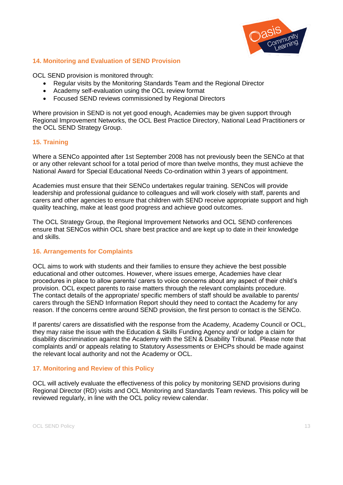

#### **14. Monitoring and Evaluation of SEND Provision**

OCL SEND provision is monitored through:

- Regular visits by the Monitoring Standards Team and the Regional Director
- Academy self-evaluation using the OCL review format
- Focused SEND reviews commissioned by Regional Directors

Where provision in SEND is not yet good enough, Academies may be given support through Regional Improvement Networks, the OCL Best Practice Directory, National Lead Practitioners or the OCL SEND Strategy Group.

#### **15. Training**

Where a SENCo appointed after 1st September 2008 has not previously been the SENCo at that or any other relevant school for a total period of more than twelve months, they must achieve the National Award for Special Educational Needs Co-ordination within 3 years of appointment.

Academies must ensure that their SENCo undertakes regular training. SENCos will provide leadership and professional guidance to colleagues and will work closely with staff, parents and carers and other agencies to ensure that children with SEND receive appropriate support and high quality teaching, make at least good progress and achieve good outcomes.

The OCL Strategy Group, the Regional Improvement Networks and OCL SEND conferences ensure that SENCos within OCL share best practice and are kept up to date in their knowledge and skills.

#### **16. Arrangements for Complaints**

OCL aims to work with students and their families to ensure they achieve the best possible educational and other outcomes. However, where issues emerge, Academies have clear procedures in place to allow parents/ carers to voice concerns about any aspect of their child's provision. OCL expect parents to raise matters through the relevant complaints procedure. The contact details of the appropriate/ specific members of staff should be available to parents/ carers through the SEND Information Report should they need to contact the Academy for any reason. If the concerns centre around SEND provision, the first person to contact is the SENCo.

If parents/ carers are dissatisfied with the response from the Academy, Academy Council or OCL, they may raise the issue with the Education & Skills Funding Agency and/ or lodge a claim for disability discrimination against the Academy with the SEN & Disability Tribunal. Please note that complaints and/ or appeals relating to Statutory Assessments or EHCPs should be made against the relevant local authority and not the Academy or OCL.

#### **17. Monitoring and Review of this Policy**

OCL will actively evaluate the effectiveness of this policy by monitoring SEND provisions during Regional Director (RD) visits and OCL Monitoring and Standards Team reviews. This policy will be reviewed regularly, in line with the OCL policy review calendar.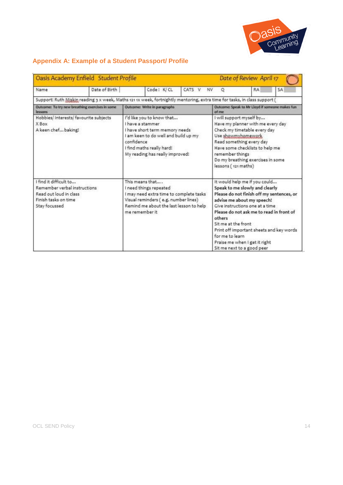

# **Appendix A: Example of a Student Passport/ Profile**

| Oasis Academy Enfield Student Profile<br>Date of Review April 17                                                          |  |                                                                                                                                                                                                       |                     |                                                                                                                                                                                                                                                                                                                                                                                          |                                                          |    |  |
|---------------------------------------------------------------------------------------------------------------------------|--|-------------------------------------------------------------------------------------------------------------------------------------------------------------------------------------------------------|---------------------|------------------------------------------------------------------------------------------------------------------------------------------------------------------------------------------------------------------------------------------------------------------------------------------------------------------------------------------------------------------------------------------|----------------------------------------------------------|----|--|
| Date of Birth<br>Name                                                                                                     |  | Code: K/CL                                                                                                                                                                                            | CATS V<br><b>NV</b> | $\circ$                                                                                                                                                                                                                                                                                                                                                                                  | RA                                                       | SA |  |
| Support: Ruth Miskin reading 3 x week, Maths 121 1x week, fortnightly mentoring, extra time for tasks, in class support ( |  |                                                                                                                                                                                                       |                     |                                                                                                                                                                                                                                                                                                                                                                                          |                                                          |    |  |
| Outcome: To try new breathing exercises in some<br>lessons                                                                |  | Outcome: Write in paragraphs                                                                                                                                                                          |                     |                                                                                                                                                                                                                                                                                                                                                                                          | Outcome: Speak to Mr Lloyd if someone makes fun<br>of me |    |  |
| Hobbies/ Interests/ favourite subjects<br>X Box<br>A keen chef baking!                                                    |  | I'd like you to know that<br>I have a stammer<br>I have short term memory needs<br>I am keen to do well and build up my<br>confidence<br>I find maths really hard!<br>My reading has really improved! |                     | I will support myself by<br>Have my planner with me every day<br>Check my timetable every day<br>Use showmyhomework<br>Read something every day<br>Have some checklists to help me<br>remember things<br>Do my breathing exercises in some<br>lessons (121 maths)                                                                                                                        |                                                          |    |  |
| I find it difficult to<br>Remember verbal instructions<br>Read out loud in class<br>Finish tasks on time<br>Stay focussed |  | This means that<br>I need things repeated<br>I may need extra time to complete tasks<br>Visual reminders (e.g. number lines)<br>Remind me about the last lesson to help<br>me remember it.            |                     | It would help me if you could<br>Speak to me slowly and clearly<br>Please do not finish off my sentences, or<br>advise me about my speech!<br>Give instructions one at a time<br>Please do not ask me to read in front of<br>others<br>Sit me at the front<br>Print off important sheets and key words<br>for me to learn<br>Praise me when I get it right<br>Sit me next to a good peer |                                                          |    |  |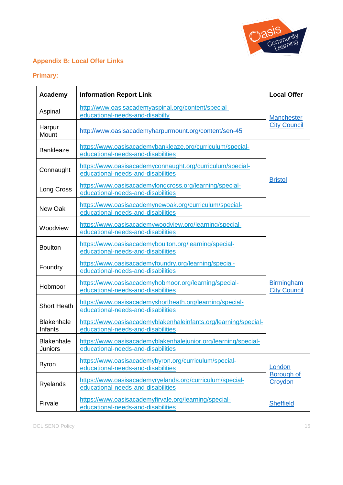

# **Appendix B: Local Offer Links**

# **Primary:**

| Academy                             | <b>Information Report Link</b>                                                                        | <b>Local Offer</b>                       |
|-------------------------------------|-------------------------------------------------------------------------------------------------------|------------------------------------------|
| Aspinal                             | http://www.oasisacademyaspinal.org/content/special-<br>educational-needs-and-disabilty                | <b>Manchester</b>                        |
| Harpur<br>Mount                     | http://www.oasisacademyharpurmount.org/content/sen-45                                                 | <b>City Council</b>                      |
| <b>Bankleaze</b>                    | https://www.oasisacademybankleaze.org/curriculum/special-<br>educational-needs-and-disabilities       |                                          |
| Connaught                           | https://www.oasisacademyconnaught.org/curriculum/special-<br>educational-needs-and-disabilities       |                                          |
| Long Cross                          | https://www.oasisacademylongcross.org/learning/special-<br>educational-needs-and-disabilities         | <b>Bristol</b>                           |
| New Oak                             | https://www.oasisacademynewoak.org/curriculum/special-<br>educational-needs-and-disabilities          |                                          |
| Woodview                            | https://www.oasisacademywoodview.org/learning/special-<br>educational-needs-and-disabilities          |                                          |
| <b>Boulton</b>                      | https://www.oasisacademyboulton.org/learning/special-<br>educational-needs-and-disabilities           |                                          |
| Foundry                             | https://www.oasisacademyfoundry.org/learning/special-<br>educational-needs-and-disabilities           |                                          |
| Hobmoor                             | https://www.oasisacademyhobmoor.org/learning/special-<br>educational-needs-and-disabilities           | <b>Birmingham</b><br><b>City Council</b> |
| <b>Short Heath</b>                  | https://www.oasisacademyshortheath.org/learning/special-<br>educational-needs-and-disabilities        |                                          |
| <b>Blakenhale</b><br>Infants        | https://www.oasisacademyblakenhaleinfants.org/learning/special-<br>educational-needs-and-disabilities |                                          |
| <b>Blakenhale</b><br><b>Juniors</b> | https://www.oasisacademyblakenhalejunior.org/learning/special-<br>educational-needs-and-disabilities  |                                          |
| <b>Byron</b>                        | https://www.oasisacademybyron.org/curriculum/special-<br>educational-needs-and-disabilities           | London<br>Borough of                     |
| <b>Ryelands</b>                     | https://www.oasisacademyryelands.org/curriculum/special-<br>educational-needs-and-disabilities        |                                          |
| Firvale                             | https://www.oasisacademyfirvale.org/learning/special-<br>educational-needs-and-disabilities           | <b>Sheffield</b>                         |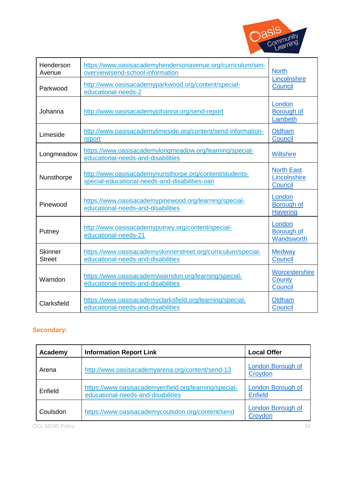

| Henderson<br>Avenue             | https://www.oasisacademyhendersonavenue.org/curriculum/sen-<br>overview/send-school-information           | <b>North</b>                                 |  |
|---------------------------------|-----------------------------------------------------------------------------------------------------------|----------------------------------------------|--|
| Parkwood                        | http://www.oasisacademyparkwood.org/content/special-<br>educational-needs-2                               | Lincolnshire<br>Council                      |  |
| Johanna                         | http://www.oasisacademyjohanna.org/send-report                                                            | London<br>Borough of<br>Lambeth              |  |
| Limeside                        | http://www.oasisacademylimeside.org/content/send-information-<br>report                                   | Oldham<br>Council                            |  |
| Longmeadow                      | https://www.oasisacademylongmeadow.org/learning/special-<br>educational-needs-and-disabilities            | <b>Wiltshire</b>                             |  |
| Nunsthorpe                      | http://www.oasisacademynunsthorpe.org/content/students-<br>special-educational-needs-and-disabilities-oan | <b>North East</b><br>Lincolnshire<br>Council |  |
| Pinewood                        | https://www.oasisacademypinewood.org/learning/special-<br>educational-needs-and-disabilities              | London<br>Borough of<br><b>Havering</b>      |  |
| Putney                          | http://www.oasisacademyputney.org/content/special-<br>educational-needs-21                                | London<br>Borough of<br>Wandsworth           |  |
| <b>Skinner</b><br><b>Street</b> | https://www.oasisacademyskinnerstreet.org/curriculum/special-<br>educational-needs-and-disabilities       | <b>Medway</b><br>Council                     |  |
| Warndon                         | https://www.oasisacademywarndon.org/learning/special-<br>educational-needs-and-disabilities               | Worcestershire<br>County<br>Council          |  |
| Clarksfield                     | https://www.oasisacademyclarksfield.org/learning/special-<br>educational-needs-and-disabilities           | Oldham<br>Council                            |  |

# **Secondary:**

| Academy  | <b>Information Report Link</b>                                                              | <b>Local Offer</b>                         |
|----------|---------------------------------------------------------------------------------------------|--------------------------------------------|
| Arena    | http://www.oasisacademyarena.org/content/send-13                                            | London Borough of<br>Croydon               |
| Enfield  | https://www.oasisacademyenfield.org/learning/special-<br>educational-needs-and-disabilities | <b>London Borough of</b><br><b>Enfield</b> |
| Coulsdon | https://www.oasisacademycoulsdon.org/content/send                                           | London Borough of<br>Croydon               |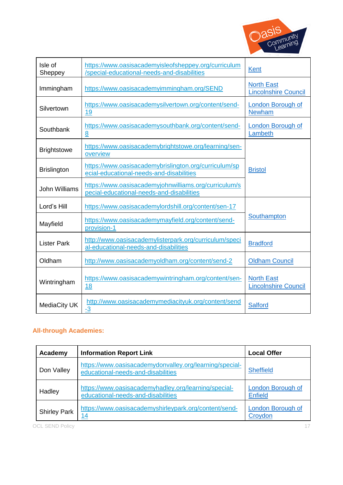

| Isle of<br>Sheppey   | https://www.oasisacademyisleofsheppey.org/curriculum<br>/special-educational-needs-and-disabilities | <b>Kent</b>                                      |
|----------------------|-----------------------------------------------------------------------------------------------------|--------------------------------------------------|
| Immingham            | https://www.oasisacademyimmingham.org/SEND                                                          | <b>North East</b><br><b>Lincolnshire Council</b> |
| Silvertown           | https://www.oasisacademysilvertown.org/content/send-<br><u>19</u>                                   | <b>London Borough of</b><br><b>Newham</b>        |
| Southbank            | https://www.oasisacademysouthbank.org/content/send-<br>8                                            | <b>London Borough of</b><br>Lambeth              |
| <b>Brightstowe</b>   | https://www.oasisacademybrightstowe.org/learning/sen-<br>overview                                   |                                                  |
| <b>Brislington</b>   | https://www.oasisacademybrislington.org/curriculum/sp<br>ecial-educational-needs-and-disabilities   | <b>Bristol</b>                                   |
| <b>John Williams</b> | https://www.oasisacademyjohnwilliams.org/curriculum/s<br>pecial-educational-needs-and-disabilities  |                                                  |
| Lord's Hill          | https://www.oasisacademylordshill.org/content/sen-17                                                |                                                  |
| Mayfield             | https://www.oasisacademymayfield.org/content/send-<br>provision-1                                   | Southampton                                      |
| <b>Lister Park</b>   | http://www.oasisacademylisterpark.org/curriculum/speci<br>al-educational-needs-and-disabilities     | <b>Bradford</b>                                  |
| Oldham               | http://www.oasisacademyoldham.org/content/send-2                                                    | <b>Oldham Council</b>                            |
| Wintringham          | https://www.oasisacademywintringham.org/content/sen-<br><u>18</u>                                   | <b>North East</b><br><b>Lincolnshire Council</b> |
| MediaCity UK         | http://www.oasisacademymediacityuk.org/content/send<br>$-3$                                         | Salford                                          |

# **All-through Academies:**

| Academy             | <b>Information Report Link</b>                                                                | <b>Local Offer</b>                  |
|---------------------|-----------------------------------------------------------------------------------------------|-------------------------------------|
| Don Valley          | https://www.oasisacademydonvalley.org/learning/special-<br>educational-needs-and-disabilities | <b>Sheffield</b>                    |
| Hadley              | https://www.oasisacademyhadley.org/learning/special-<br>educational-needs-and-disabilities    | London Borough of<br><b>Enfield</b> |
| <b>Shirley Park</b> | https://www.oasisacademyshirleypark.org/content/send-<br>14                                   | <b>London Borough of</b><br>Croydon |